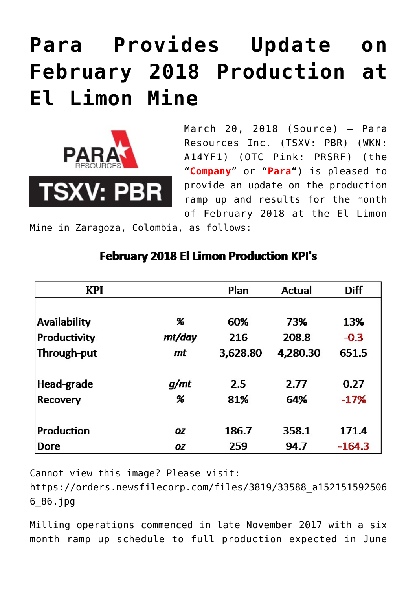# **[Para Provides Update on](https://investorintel.com/markets/gold-silver-base-metals/gold-precious-metals-news/para-provides-update-february-2018-production-el-limon-mine/) [February 2018 Production at](https://investorintel.com/markets/gold-silver-base-metals/gold-precious-metals-news/para-provides-update-february-2018-production-el-limon-mine/) [El Limon Mine](https://investorintel.com/markets/gold-silver-base-metals/gold-precious-metals-news/para-provides-update-february-2018-production-el-limon-mine/)**



March 20, 2018 ([Source\)](https://investorintel.com/iintel-members/para-resources-inc/) — Para Resources Inc. (TSXV: PBR) (WKN: A14YF1) (OTC Pink: PRSRF) (the "**Company**" or "**Para**") is pleased to provide an update on the production ramp up and results for the month of February 2018 at the El Limon

Mine in Zaragoza, Colombia, as follows:

| <b>KPI</b>          |        | Plan     | Actual   | <b>Diff</b> |
|---------------------|--------|----------|----------|-------------|
|                     |        |          |          |             |
| <b>Availability</b> | %      | 60%      | 73%      | 13%         |
| <b>Productivity</b> | mt/day | 216      | 208.8    | $-0.3$      |
| Through-put         | mt     | 3,628.80 | 4,280.30 | 651.5       |
|                     |        |          |          |             |
| Head-grade          | g/mt   | 2.5      | 2.77     | 0.27        |
| Recovery            | %      | 81%      | 64%      | $-17%$      |
|                     |        |          |          |             |
| Production          | OZ     | 186.7    | 358.1    | 171.4       |
| Dore                | OZ     | 259      | 94.7     | $-164.3$    |

## **February 2018 El Limon Production KPI's**

Cannot view this image? Please visit:

[https://orders.newsfilecorp.com/files/3819/33588\\_a152151592506](https://orders.newsfilecorp.com/files/3819/33588_a1521515925066_86.jpg) [6\\_86.jpg](https://orders.newsfilecorp.com/files/3819/33588_a1521515925066_86.jpg)

Milling operations commenced in late November 2017 with a six month ramp up schedule to full production expected in June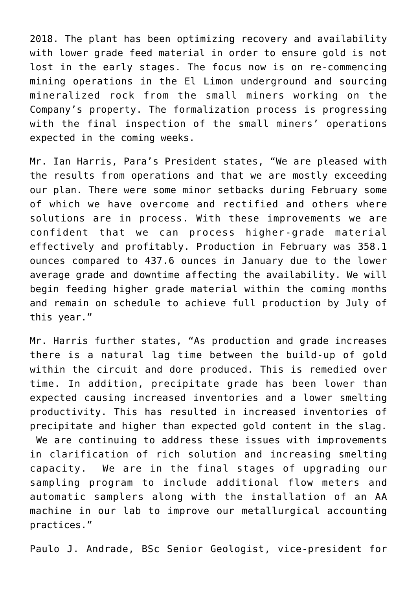2018. The plant has been optimizing recovery and availability with lower grade feed material in order to ensure gold is not lost in the early stages. The focus now is on re-commencing mining operations in the El Limon underground and sourcing mineralized rock from the small miners working on the Company's property. The formalization process is progressing with the final inspection of the small miners' operations expected in the coming weeks.

Mr. Ian Harris, Para's President states, "We are pleased with the results from operations and that we are mostly exceeding our plan. There were some minor setbacks during February some of which we have overcome and rectified and others where solutions are in process. With these improvements we are confident that we can process higher-grade material effectively and profitably. Production in February was 358.1 ounces compared to 437.6 ounces in January due to the lower average grade and downtime affecting the availability. We will begin feeding higher grade material within the coming months and remain on schedule to achieve full production by July of this year."

Mr. Harris further states, "As production and grade increases there is a natural lag time between the build-up of gold within the circuit and dore produced. This is remedied over time. In addition, precipitate grade has been lower than expected causing increased inventories and a lower smelting productivity. This has resulted in increased inventories of precipitate and higher than expected gold content in the slag. We are continuing to address these issues with improvements in clarification of rich solution and increasing smelting capacity. We are in the final stages of upgrading our sampling program to include additional flow meters and automatic samplers along with the installation of an AA machine in our lab to improve our metallurgical accounting practices."

Paulo J. Andrade, BSc Senior Geologist, vice-president for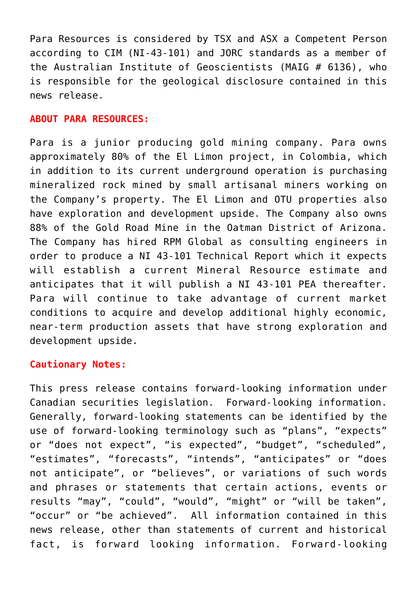Para Resources is considered by TSX and ASX a Competent Person according to CIM (NI-43-101) and JORC standards as a member of the Australian Institute of Geoscientists (MAIG # 6136), who is responsible for the geological disclosure contained in this news release.

#### **ABOUT PARA RESOURCES:**

Para is a junior producing gold mining company. Para owns approximately 80% of the El Limon project, in Colombia, which in addition to its current underground operation is purchasing mineralized rock mined by small artisanal miners working on the Company's property. The El Limon and OTU properties also have exploration and development upside. The Company also owns 88% of the Gold Road Mine in the Oatman District of Arizona. The Company has hired RPM Global as consulting engineers in order to produce a NI 43-101 Technical Report which it expects will establish a current Mineral Resource estimate and anticipates that it will publish a NI 43-101 PEA thereafter. Para will continue to take advantage of current market conditions to acquire and develop additional highly economic, near-term production assets that have strong exploration and development upside.

### **Cautionary Notes:**

This press release contains forward-looking information under Canadian securities legislation. Forward-looking information. Generally, forward-looking statements can be identified by the use of forward-looking terminology such as "plans", "expects" or "does not expect", "is expected", "budget", "scheduled", "estimates", "forecasts", "intends", "anticipates" or "does not anticipate", or "believes", or variations of such words and phrases or statements that certain actions, events or results "may", "could", "would", "might" or "will be taken", "occur" or "be achieved". All information contained in this news release, other than statements of current and historical fact, is forward looking information. Forward-looking